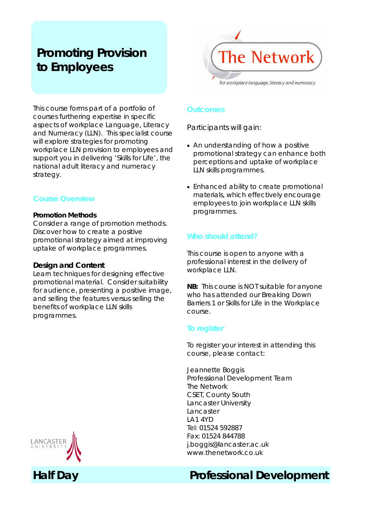# **Promoting Provision to Employees**



This course forms part of a portfolio of courses furthering expertise in specific aspects of workplace Language, Literacy and Numeracy (LLN). This specialist course will explore strategies for promoting workplace LLN provision to employees and support you in delivering 'Skills for Life', the national adult literacy and numeracy strategy.

## **Course Overview**

#### **Promotion Methods**

Consider a range of promotion methods. Discover how to create a positive promotional strategy aimed at improving uptake of workplace programmes.

## **Design and Content**

Learn techniques for designing effective promotional material. Consider suitability for audience, presenting a positive image, and selling the features versus selling the benefits of workplace LLN skills programmes.

#### **Outcomes**

Participants will gain:

- An understanding of how a positive promotional strategy can enhance both perceptions and uptake of workplace LLN skills programmes.
- Enhanced ability to create promotional materials, which effectively encourage employees to join workplace LLN skills programmes.

## **Who should attend?**

This course is open to anyone with a professional interest in the delivery of workplace LLN.

**NB:** This course is NOT suitable for anyone who has attended our Breaking Down Barriers 1 or Skills for Life in the Workplace course.

## **To register**

To register your interest in attending this course, please contact:

Jeannette Boggis Professional Development Team The Network CSET, County South Lancaster University Lancaster LA1 4YD Tel: 01524 592887 Fax: 01524 844788 j.boggis@lancaster.ac.uk www.thenetwork.co.uk

## **Half Day Professional Development**